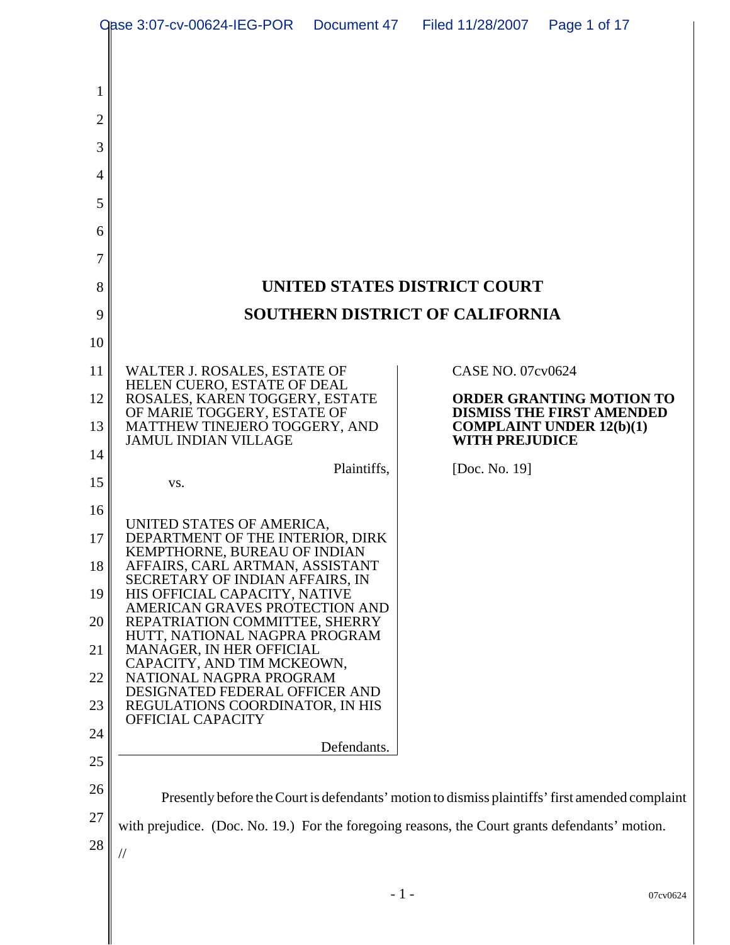| <b>Qase 3:07-cv-00624-IEG-POR</b> |                                                                                                |             | Document 47 Filed 11/28/2007 | Page 1 of 17                                                                                    |  |
|-----------------------------------|------------------------------------------------------------------------------------------------|-------------|------------------------------|-------------------------------------------------------------------------------------------------|--|
|                                   |                                                                                                |             |                              |                                                                                                 |  |
| 1                                 |                                                                                                |             |                              |                                                                                                 |  |
| $\overline{2}$                    |                                                                                                |             |                              |                                                                                                 |  |
| 3                                 |                                                                                                |             |                              |                                                                                                 |  |
| 4                                 |                                                                                                |             |                              |                                                                                                 |  |
| 5                                 |                                                                                                |             |                              |                                                                                                 |  |
| 6                                 |                                                                                                |             |                              |                                                                                                 |  |
| 7                                 |                                                                                                |             |                              |                                                                                                 |  |
| 8                                 | UNITED STATES DISTRICT COURT                                                                   |             |                              |                                                                                                 |  |
| 9                                 | <b>SOUTHERN DISTRICT OF CALIFORNIA</b>                                                         |             |                              |                                                                                                 |  |
| 10                                |                                                                                                |             |                              |                                                                                                 |  |
| 11                                | WALTER J. ROSALES, ESTATE OF                                                                   |             | <b>CASE NO. 07cv0624</b>     |                                                                                                 |  |
| 12                                | HELEN CUERO, ESTATE OF DEAL<br>ROSALES, KAREN TOGGERY, ESTATE                                  |             |                              | <b>ORDER GRANTING MOTION TO</b><br><b>DISMISS THE FIRST AMENDED</b>                             |  |
| 13                                | OF MARIE TOGGERY, ESTATE OF<br>MATTHEW TINEJERO TOGGERY, AND<br><b>JAMUL INDIAN VILLAGE</b>    |             | <b>WITH PREJUDICE</b>        | <b>COMPLAINT UNDER 12(b)(1)</b>                                                                 |  |
| 14                                |                                                                                                | Plaintiffs, | [Doc. No. 19]                |                                                                                                 |  |
| 15                                | VS.                                                                                            |             |                              |                                                                                                 |  |
| 16                                | UNITED STATES OF AMERICA,                                                                      |             |                              |                                                                                                 |  |
| 17                                | DEPARTMENT OF THE INTERIOR, DIRK<br>KEMPTHORNE, BUREAU OF INDIAN                               |             |                              |                                                                                                 |  |
| 18                                | AFFAIRS, CARL ARTMAN, ASSISTANT<br>SECRETARY OF INDIAN AFFAIRS, IN                             |             |                              |                                                                                                 |  |
| 19                                | HIS OFFICIAL CAPACITY, NATIVE<br>AMERICAN GRAVES PROTECTION AND                                |             |                              |                                                                                                 |  |
| 20                                | REPATRIATION COMMITTEE, SHERRY<br>HUTT, NATIONAL NAGPRA PROGRAM                                |             |                              |                                                                                                 |  |
| 21                                | MANAGER, IN HER OFFICIAL<br>CAPACITY, AND TIM MCKEOWN,                                         |             |                              |                                                                                                 |  |
| 22<br>23                          | NATIONAL NAGPRA PROGRAM<br>DESIGNATED FEDERAL OFFICER AND<br>REGULATIONS COORDINATOR, IN HIS   |             |                              |                                                                                                 |  |
| 24                                | OFFICIAL CAPACITY                                                                              |             |                              |                                                                                                 |  |
| 25                                |                                                                                                | Defendants. |                              |                                                                                                 |  |
| 26                                |                                                                                                |             |                              |                                                                                                 |  |
| 27                                |                                                                                                |             |                              | Presently before the Court is defendants' motion to dismiss plaintiffs' first amended complaint |  |
| 28                                | with prejudice. (Doc. No. 19.) For the foregoing reasons, the Court grants defendants' motion. |             |                              |                                                                                                 |  |
|                                   | //                                                                                             |             |                              |                                                                                                 |  |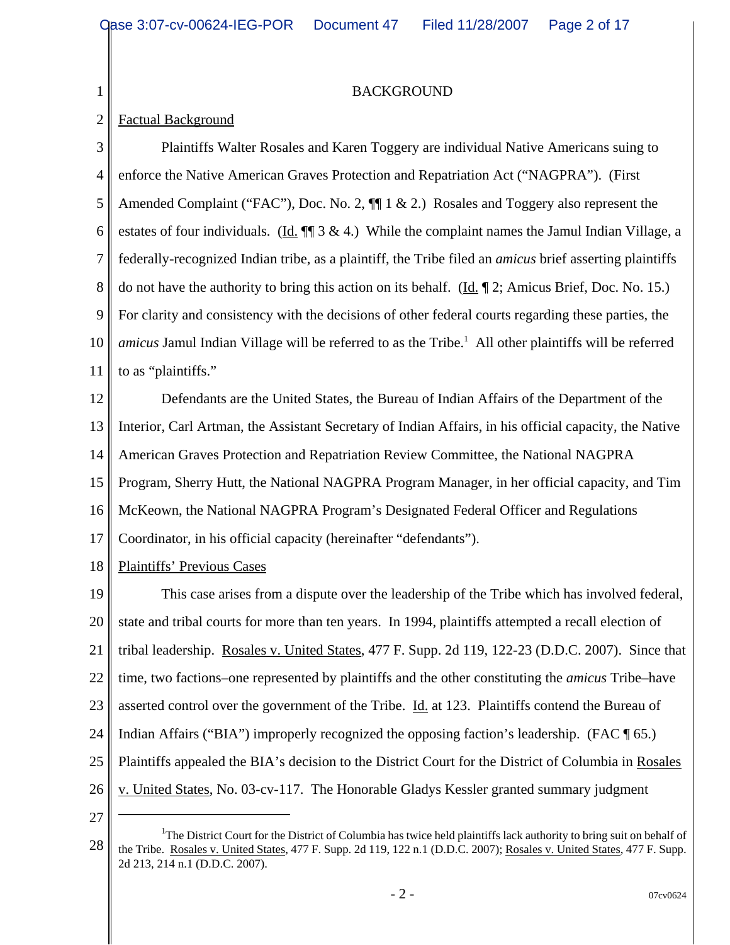BACKGROUND

## 2 Factual Background

1

3 4 5 6 7 8 9 10 11 Plaintiffs Walter Rosales and Karen Toggery are individual Native Americans suing to enforce the Native American Graves Protection and Repatriation Act ("NAGPRA"). (First Amended Complaint ("FAC"), Doc. No. 2,  $\P$  1 & 2.) Rosales and Toggery also represent the estates of four individuals. (Id.  $\P$  3 & 4.) While the complaint names the Jamul Indian Village, a federally-recognized Indian tribe, as a plaintiff, the Tribe filed an *amicus* brief asserting plaintiffs do not have the authority to bring this action on its behalf. (Id.  $\sim$  2; Amicus Brief, Doc. No. 15.) For clarity and consistency with the decisions of other federal courts regarding these parties, the amicus Jamul Indian Village will be referred to as the Tribe.<sup>1</sup> All other plaintiffs will be referred to as "plaintiffs."

12 13 14 15 16 17 Defendants are the United States, the Bureau of Indian Affairs of the Department of the Interior, Carl Artman, the Assistant Secretary of Indian Affairs, in his official capacity, the Native American Graves Protection and Repatriation Review Committee, the National NAGPRA Program, Sherry Hutt, the National NAGPRA Program Manager, in her official capacity, and Tim McKeown, the National NAGPRA Program's Designated Federal Officer and Regulations Coordinator, in his official capacity (hereinafter "defendants").

18 Plaintiffs' Previous Cases

19 20 21 22 23 24 25 26 This case arises from a dispute over the leadership of the Tribe which has involved federal, state and tribal courts for more than ten years. In 1994, plaintiffs attempted a recall election of tribal leadership. Rosales v. United States, 477 F. Supp. 2d 119, 122-23 (D.D.C. 2007). Since that time, two factions–one represented by plaintiffs and the other constituting the *amicus* Tribe–have asserted control over the government of the Tribe. Id. at 123. Plaintiffs contend the Bureau of Indian Affairs ("BIA") improperly recognized the opposing faction's leadership. (FAC ¶ 65.) Plaintiffs appealed the BIA's decision to the District Court for the District of Columbia in Rosales v. United States, No. 03-cv-117. The Honorable Gladys Kessler granted summary judgment

<sup>28</sup> <sup>1</sup>The District Court for the District of Columbia has twice held plaintiffs lack authority to bring suit on behalf of the Tribe. Rosales v. United States, 477 F. Supp. 2d 119, 122 n.1 (D.D.C. 2007); Rosales v. United States, 477 F. Supp. 2d 213, 214 n.1 (D.D.C. 2007).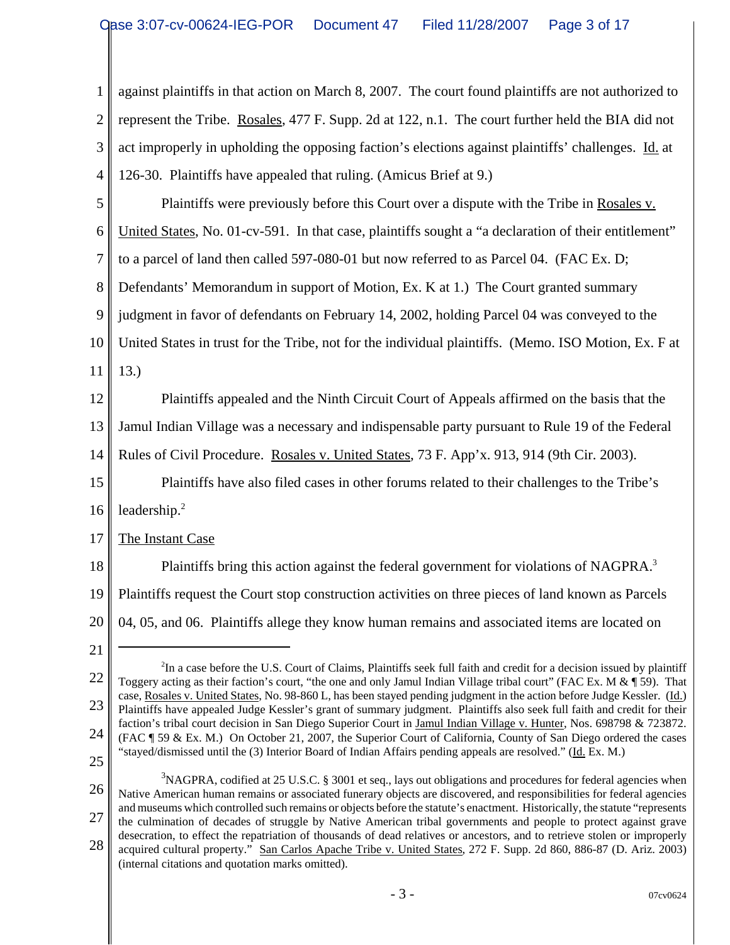1 2 3 4 5 6 7 8 9 10 11 12 13 14 15 16 17 18 19 20 21 22 23 24 25 26 27 <sup>2</sup>In a case before the U.S. Court of Claims, Plaintiffs seek full faith and credit for a decision issued by plaintiff Toggery acting as their faction's court, "the one and only Jamul Indian Village tribal court" (FAC Ex. M  $\&$  ¶ 59). That case, Rosales v. United States, No. 98-860 L, has been stayed pending judgment in the action before Judge Kessler. (Id.) Plaintiffs have appealed Judge Kessler's grant of summary judgment. Plaintiffs also seek full faith and credit for their faction's tribal court decision in San Diego Superior Court in Jamul Indian Village v. Hunter, Nos. 698798 & 723872. (FAC ¶ 59 & Ex. M.) On October 21, 2007, the Superior Court of California, County of San Diego ordered the cases "stayed/dismissed until the (3) Interior Board of Indian Affairs pending appeals are resolved." (Id. Ex. M.)  $3NAGPRA$ , codified at 25 U.S.C. § 3001 et seq., lays out obligations and procedures for federal agencies when Native American human remains or associated funerary objects are discovered, and responsibilities for federal agencies and museums which controlled such remains or objects before the statute's enactment. Historically, the statute "represents the culmination of decades of struggle by Native American tribal governments and people to protect against grave desecration, to effect the repatriation of thousands of dead relatives or ancestors, and to retrieve stolen or improperly against plaintiffs in that action on March 8, 2007. The court found plaintiffs are not authorized to represent the Tribe. Rosales, 477 F. Supp. 2d at 122, n.1. The court further held the BIA did not act improperly in upholding the opposing faction's elections against plaintiffs' challenges. Id. at 126-30. Plaintiffs have appealed that ruling. (Amicus Brief at 9.) Plaintiffs were previously before this Court over a dispute with the Tribe in Rosales v. United States, No. 01-cv-591. In that case, plaintiffs sought a "a declaration of their entitlement" to a parcel of land then called 597-080-01 but now referred to as Parcel 04. (FAC Ex. D; Defendants' Memorandum in support of Motion, Ex. K at 1.) The Court granted summary judgment in favor of defendants on February 14, 2002, holding Parcel 04 was conveyed to the United States in trust for the Tribe, not for the individual plaintiffs. (Memo. ISO Motion, Ex. F at 13.) Plaintiffs appealed and the Ninth Circuit Court of Appeals affirmed on the basis that the Jamul Indian Village was a necessary and indispensable party pursuant to Rule 19 of the Federal Rules of Civil Procedure. Rosales v. United States, 73 F. App'x. 913, 914 (9th Cir. 2003). Plaintiffs have also filed cases in other forums related to their challenges to the Tribe's leadership.2 The Instant Case Plaintiffs bring this action against the federal government for violations of NAGPRA.<sup>3</sup> Plaintiffs request the Court stop construction activities on three pieces of land known as Parcels 04, 05, and 06. Plaintiffs allege they know human remains and associated items are located on

<sup>28</sup> acquired cultural property." San Carlos Apache Tribe v. United States, 272 F. Supp. 2d 860, 886-87 (D. Ariz. 2003) (internal citations and quotation marks omitted).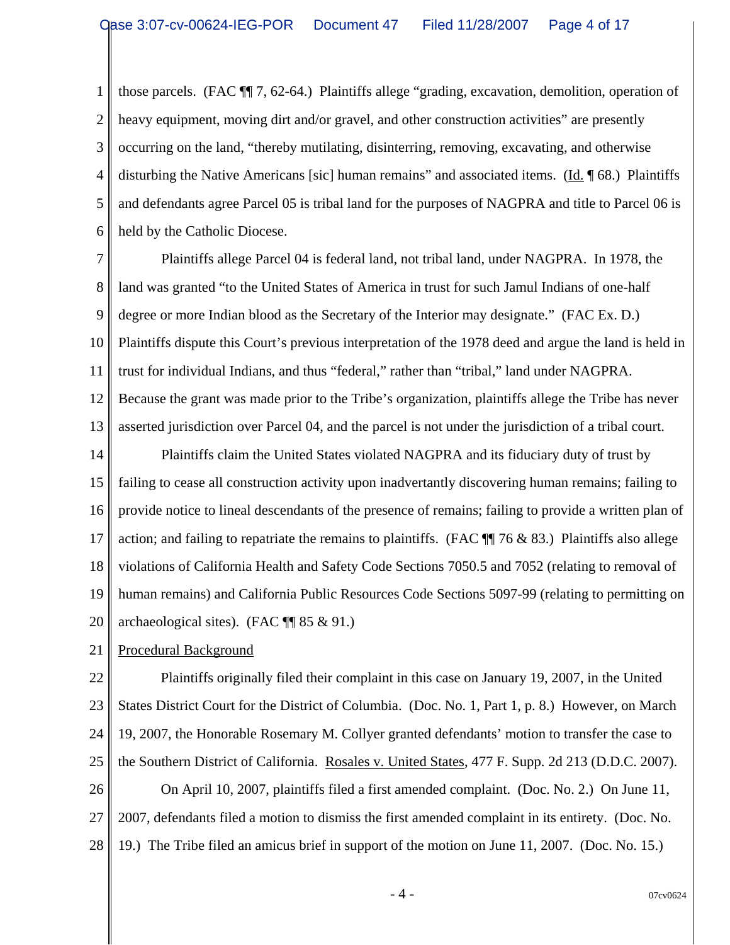1 2 3 4 5 6 those parcels. (FAC ¶¶ 7, 62-64.) Plaintiffs allege "grading, excavation, demolition, operation of heavy equipment, moving dirt and/or gravel, and other construction activities" are presently occurring on the land, "thereby mutilating, disinterring, removing, excavating, and otherwise disturbing the Native Americans [sic] human remains" and associated items. (Id. 168.) Plaintiffs and defendants agree Parcel 05 is tribal land for the purposes of NAGPRA and title to Parcel 06 is held by the Catholic Diocese.

7 8 9 10 11 12 13 Plaintiffs allege Parcel 04 is federal land, not tribal land, under NAGPRA. In 1978, the land was granted "to the United States of America in trust for such Jamul Indians of one-half degree or more Indian blood as the Secretary of the Interior may designate." (FAC Ex. D.) Plaintiffs dispute this Court's previous interpretation of the 1978 deed and argue the land is held in trust for individual Indians, and thus "federal," rather than "tribal," land under NAGPRA. Because the grant was made prior to the Tribe's organization, plaintiffs allege the Tribe has never asserted jurisdiction over Parcel 04, and the parcel is not under the jurisdiction of a tribal court.

14 15 16 17 18 19 20 Plaintiffs claim the United States violated NAGPRA and its fiduciary duty of trust by failing to cease all construction activity upon inadvertantly discovering human remains; failing to provide notice to lineal descendants of the presence of remains; failing to provide a written plan of action; and failing to repatriate the remains to plaintiffs. (FAC  $\P$  76 & 83.) Plaintiffs also allege violations of California Health and Safety Code Sections 7050.5 and 7052 (relating to removal of human remains) and California Public Resources Code Sections 5097-99 (relating to permitting on archaeological sites). (FAC ¶¶ 85 & 91.)

21 Procedural Background

22 23 24 25 26 27 28 Plaintiffs originally filed their complaint in this case on January 19, 2007, in the United States District Court for the District of Columbia. (Doc. No. 1, Part 1, p. 8.) However, on March 19, 2007, the Honorable Rosemary M. Collyer granted defendants' motion to transfer the case to the Southern District of California. Rosales v. United States, 477 F. Supp. 2d 213 (D.D.C. 2007). On April 10, 2007, plaintiffs filed a first amended complaint. (Doc. No. 2.) On June 11, 2007, defendants filed a motion to dismiss the first amended complaint in its entirety. (Doc. No. 19.) The Tribe filed an amicus brief in support of the motion on June 11, 2007. (Doc. No. 15.)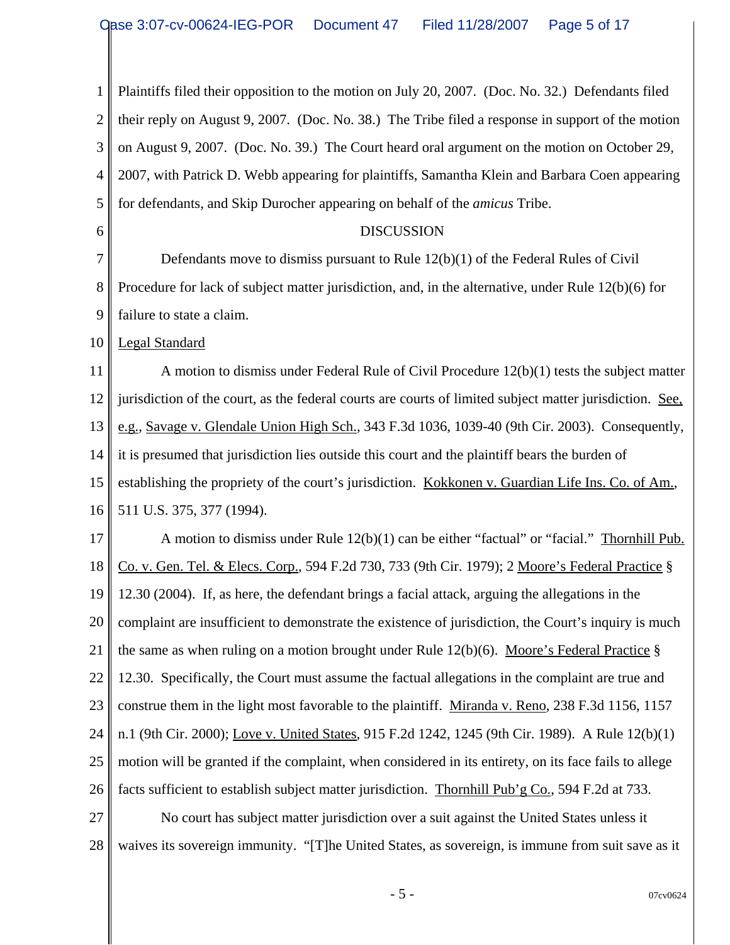1 2 3 4 5 6 7 8 9 10 11 12 13 14 15 16 17 18 19 20 21 22 Plaintiffs filed their opposition to the motion on July 20, 2007. (Doc. No. 32.) Defendants filed their reply on August 9, 2007. (Doc. No. 38.) The Tribe filed a response in support of the motion on August 9, 2007. (Doc. No. 39.) The Court heard oral argument on the motion on October 29, 2007, with Patrick D. Webb appearing for plaintiffs, Samantha Klein and Barbara Coen appearing for defendants, and Skip Durocher appearing on behalf of the *amicus* Tribe. DISCUSSION Defendants move to dismiss pursuant to Rule  $12(b)(1)$  of the Federal Rules of Civil Procedure for lack of subject matter jurisdiction, and, in the alternative, under Rule 12(b)(6) for failure to state a claim. Legal Standard A motion to dismiss under Federal Rule of Civil Procedure 12(b)(1) tests the subject matter jurisdiction of the court, as the federal courts are courts of limited subject matter jurisdiction. See, e.g., Savage v. Glendale Union High Sch., 343 F.3d 1036, 1039-40 (9th Cir. 2003). Consequently, it is presumed that jurisdiction lies outside this court and the plaintiff bears the burden of establishing the propriety of the court's jurisdiction. Kokkonen v. Guardian Life Ins. Co. of Am., 511 U.S. 375, 377 (1994). A motion to dismiss under Rule 12(b)(1) can be either "factual" or "facial." Thornhill Pub. Co. v. Gen. Tel. & Elecs. Corp., 594 F.2d 730, 733 (9th Cir. 1979); 2 Moore's Federal Practice § 12.30 (2004). If, as here, the defendant brings a facial attack, arguing the allegations in the complaint are insufficient to demonstrate the existence of jurisdiction, the Court's inquiry is much the same as when ruling on a motion brought under Rule 12(b)(6). Moore's Federal Practice § 12.30. Specifically, the Court must assume the factual allegations in the complaint are true and

23 24 25 26 construe them in the light most favorable to the plaintiff. Miranda v. Reno, 238 F.3d 1156, 1157 n.1 (9th Cir. 2000); Love v. United States, 915 F.2d 1242, 1245 (9th Cir. 1989). A Rule 12(b)(1) motion will be granted if the complaint, when considered in its entirety, on its face fails to allege facts sufficient to establish subject matter jurisdiction. Thornhill Pub'g Co., 594 F.2d at 733.

27 28 No court has subject matter jurisdiction over a suit against the United States unless it waives its sovereign immunity. "[T]he United States, as sovereign, is immune from suit save as it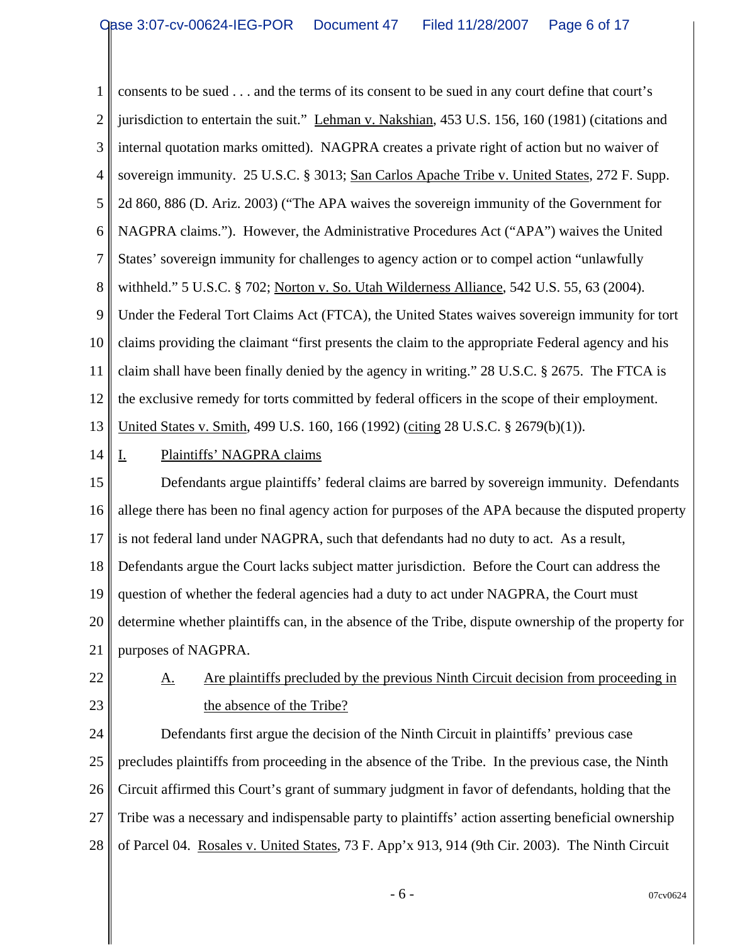1 2 3 4 5 6 7 8 9 10 11 12 13 14 15 16 17 18 19 20 21 22 23 24 25 26 27 28 consents to be sued . . . and the terms of its consent to be sued in any court define that court's jurisdiction to entertain the suit." Lehman v. Nakshian, 453 U.S. 156, 160 (1981) (citations and internal quotation marks omitted). NAGPRA creates a private right of action but no waiver of sovereign immunity. 25 U.S.C. § 3013; San Carlos Apache Tribe v. United States, 272 F. Supp. 2d 860, 886 (D. Ariz. 2003) ("The APA waives the sovereign immunity of the Government for NAGPRA claims."). However, the Administrative Procedures Act ("APA") waives the United States' sovereign immunity for challenges to agency action or to compel action "unlawfully withheld." 5 U.S.C. § 702; Norton v. So. Utah Wilderness Alliance, 542 U.S. 55, 63 (2004). Under the Federal Tort Claims Act (FTCA), the United States waives sovereign immunity for tort claims providing the claimant "first presents the claim to the appropriate Federal agency and his claim shall have been finally denied by the agency in writing." 28 U.S.C. § 2675. The FTCA is the exclusive remedy for torts committed by federal officers in the scope of their employment. United States v. Smith, 499 U.S. 160, 166 (1992) (citing 28 U.S.C. § 2679(b)(1)). I. Plaintiffs' NAGPRA claims Defendants argue plaintiffs' federal claims are barred by sovereign immunity. Defendants allege there has been no final agency action for purposes of the APA because the disputed property is not federal land under NAGPRA, such that defendants had no duty to act. As a result, Defendants argue the Court lacks subject matter jurisdiction. Before the Court can address the question of whether the federal agencies had a duty to act under NAGPRA, the Court must determine whether plaintiffs can, in the absence of the Tribe, dispute ownership of the property for purposes of NAGPRA. A. Are plaintiffs precluded by the previous Ninth Circuit decision from proceeding in the absence of the Tribe? Defendants first argue the decision of the Ninth Circuit in plaintiffs' previous case precludes plaintiffs from proceeding in the absence of the Tribe. In the previous case, the Ninth Circuit affirmed this Court's grant of summary judgment in favor of defendants, holding that the Tribe was a necessary and indispensable party to plaintiffs' action asserting beneficial ownership of Parcel 04. Rosales v. United States, 73 F. App'x 913, 914 (9th Cir. 2003). The Ninth Circuit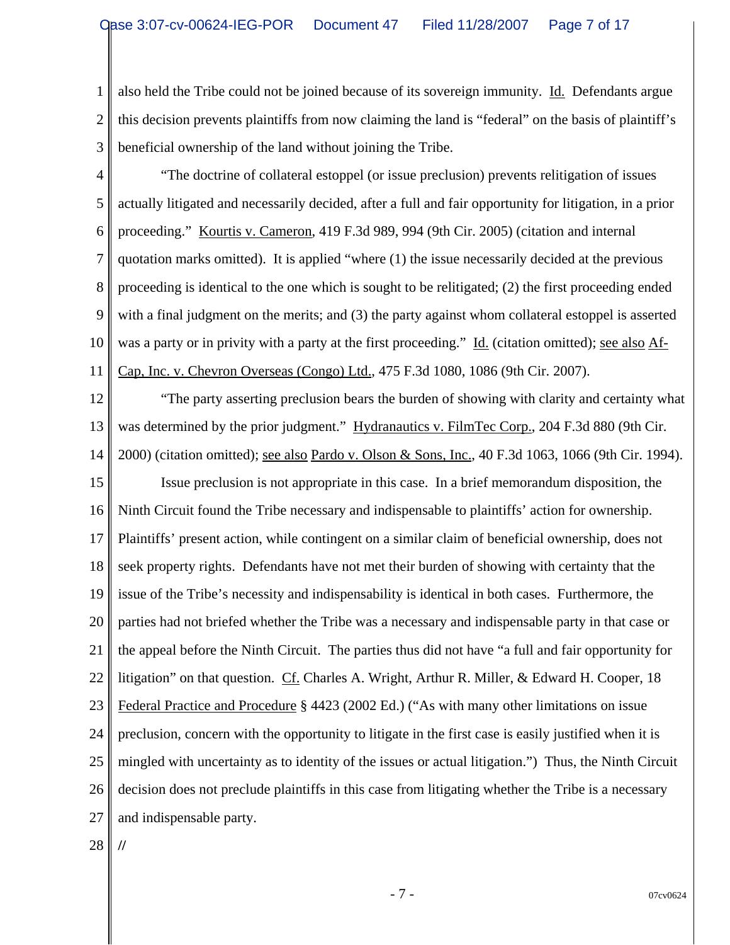1 2 3 also held the Tribe could not be joined because of its sovereign immunity. Id. Defendants argue this decision prevents plaintiffs from now claiming the land is "federal" on the basis of plaintiff's beneficial ownership of the land without joining the Tribe.

- 4 5 6 7 8 9 10 11 "The doctrine of collateral estoppel (or issue preclusion) prevents relitigation of issues actually litigated and necessarily decided, after a full and fair opportunity for litigation, in a prior proceeding." Kourtis v. Cameron, 419 F.3d 989, 994 (9th Cir. 2005) (citation and internal quotation marks omitted). It is applied "where (1) the issue necessarily decided at the previous proceeding is identical to the one which is sought to be relitigated; (2) the first proceeding ended with a final judgment on the merits; and (3) the party against whom collateral estoppel is asserted was a party or in privity with a party at the first proceeding." Id. (citation omitted); see also Af-Cap, Inc. v. Chevron Overseas (Congo) Ltd., 475 F.3d 1080, 1086 (9th Cir. 2007).
- 12

13 14 "The party asserting preclusion bears the burden of showing with clarity and certainty what was determined by the prior judgment." Hydranautics v. FilmTec Corp., 204 F.3d 880 (9th Cir. 2000) (citation omitted); see also Pardo v. Olson & Sons, Inc., 40 F.3d 1063, 1066 (9th Cir. 1994).

15 16 17 18 19 20 21 22 23 24 25 26 27 Issue preclusion is not appropriate in this case. In a brief memorandum disposition, the Ninth Circuit found the Tribe necessary and indispensable to plaintiffs' action for ownership. Plaintiffs' present action, while contingent on a similar claim of beneficial ownership, does not seek property rights. Defendants have not met their burden of showing with certainty that the issue of the Tribe's necessity and indispensability is identical in both cases. Furthermore, the parties had not briefed whether the Tribe was a necessary and indispensable party in that case or the appeal before the Ninth Circuit. The parties thus did not have "a full and fair opportunity for litigation" on that question. Cf. Charles A. Wright, Arthur R. Miller, & Edward H. Cooper, 18 Federal Practice and Procedure § 4423 (2002 Ed.) ("As with many other limitations on issue preclusion, concern with the opportunity to litigate in the first case is easily justified when it is mingled with uncertainty as to identity of the issues or actual litigation.") Thus, the Ninth Circuit decision does not preclude plaintiffs in this case from litigating whether the Tribe is a necessary and indispensable party.

28

**//**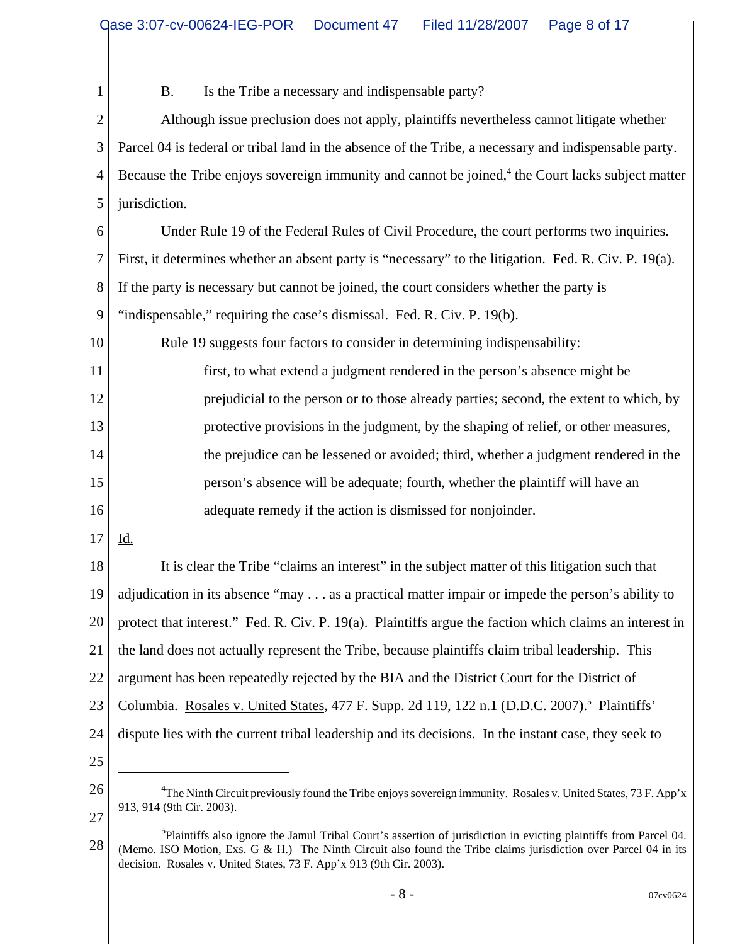1 2 3 4 5 6 7 8 9 10 11 12 13 14 15 16 17 18 19 20 21 22 23 24 25 26 27 28 <sup>4</sup>The Ninth Circuit previously found the Tribe enjoys sovereign immunity. Rosales v. United States, 73 F. App'x 913, 914 (9th Cir. 2003). <sup>5</sup>Plaintiffs also ignore the Jamul Tribal Court's assertion of jurisdiction in evicting plaintiffs from Parcel 04. B. Is the Tribe a necessary and indispensable party? Although issue preclusion does not apply, plaintiffs nevertheless cannot litigate whether Parcel 04 is federal or tribal land in the absence of the Tribe, a necessary and indispensable party. Because the Tribe enjoys sovereign immunity and cannot be joined,<sup>4</sup> the Court lacks subject matter jurisdiction. Under Rule 19 of the Federal Rules of Civil Procedure, the court performs two inquiries. First, it determines whether an absent party is "necessary" to the litigation. Fed. R. Civ. P. 19(a). If the party is necessary but cannot be joined, the court considers whether the party is "indispensable," requiring the case's dismissal. Fed. R. Civ. P. 19(b). Rule 19 suggests four factors to consider in determining indispensability: first, to what extend a judgment rendered in the person's absence might be prejudicial to the person or to those already parties; second, the extent to which, by protective provisions in the judgment, by the shaping of relief, or other measures, the prejudice can be lessened or avoided; third, whether a judgment rendered in the person's absence will be adequate; fourth, whether the plaintiff will have an adequate remedy if the action is dismissed for nonjoinder. Id. It is clear the Tribe "claims an interest" in the subject matter of this litigation such that adjudication in its absence "may . . . as a practical matter impair or impede the person's ability to protect that interest." Fed. R. Civ. P. 19(a). Plaintiffs argue the faction which claims an interest in the land does not actually represent the Tribe, because plaintiffs claim tribal leadership. This argument has been repeatedly rejected by the BIA and the District Court for the District of Columbia. Rosales v. United States, 477 F. Supp. 2d 119, 122 n.1 (D.D.C. 2007).<sup>5</sup> Plaintiffs' dispute lies with the current tribal leadership and its decisions. In the instant case, they seek to

<sup>(</sup>Memo. ISO Motion, Exs. G  $\&$  H.) The Ninth Circuit also found the Tribe claims jurisdiction over Parcel 04 in its decision. Rosales v. United States, 73 F. App'x 913 (9th Cir. 2003).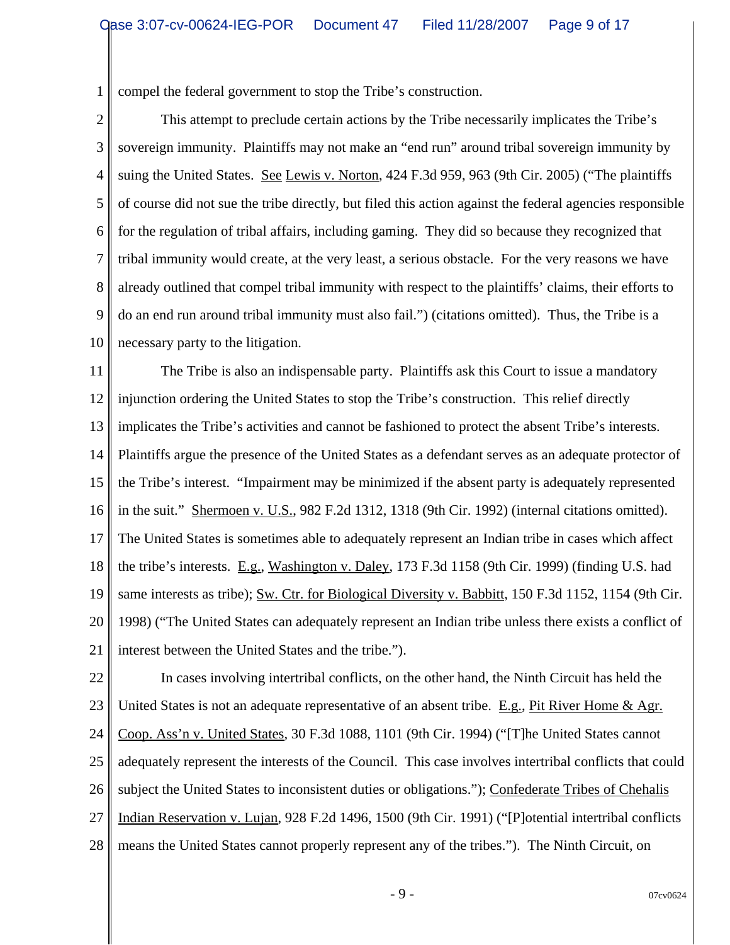1 compel the federal government to stop the Tribe's construction.

2 3 4 5 6 7 8 9 10 This attempt to preclude certain actions by the Tribe necessarily implicates the Tribe's sovereign immunity. Plaintiffs may not make an "end run" around tribal sovereign immunity by suing the United States. See Lewis v. Norton, 424 F.3d 959, 963 (9th Cir. 2005) ("The plaintiffs of course did not sue the tribe directly, but filed this action against the federal agencies responsible for the regulation of tribal affairs, including gaming. They did so because they recognized that tribal immunity would create, at the very least, a serious obstacle. For the very reasons we have already outlined that compel tribal immunity with respect to the plaintiffs' claims, their efforts to do an end run around tribal immunity must also fail.") (citations omitted). Thus, the Tribe is a necessary party to the litigation.

11 12 13 14 15 16 17 18 19 20 21 The Tribe is also an indispensable party. Plaintiffs ask this Court to issue a mandatory injunction ordering the United States to stop the Tribe's construction. This relief directly implicates the Tribe's activities and cannot be fashioned to protect the absent Tribe's interests. Plaintiffs argue the presence of the United States as a defendant serves as an adequate protector of the Tribe's interest. "Impairment may be minimized if the absent party is adequately represented in the suit." Shermoen v. U.S., 982 F.2d 1312, 1318 (9th Cir. 1992) (internal citations omitted). The United States is sometimes able to adequately represent an Indian tribe in cases which affect the tribe's interests. E.g., Washington v. Daley, 173 F.3d 1158 (9th Cir. 1999) (finding U.S. had same interests as tribe); Sw. Ctr. for Biological Diversity v. Babbitt, 150 F.3d 1152, 1154 (9th Cir. 1998) ("The United States can adequately represent an Indian tribe unless there exists a conflict of interest between the United States and the tribe.").

22 23 24 25 26 27 28 In cases involving intertribal conflicts, on the other hand, the Ninth Circuit has held the United States is not an adequate representative of an absent tribe. E.g., Pit River Home & Agr. Coop. Ass'n v. United States, 30 F.3d 1088, 1101 (9th Cir. 1994) ("[T]he United States cannot adequately represent the interests of the Council. This case involves intertribal conflicts that could subject the United States to inconsistent duties or obligations."); Confederate Tribes of Chehalis Indian Reservation v. Lujan, 928 F.2d 1496, 1500 (9th Cir. 1991) ("[P]otential intertribal conflicts means the United States cannot properly represent any of the tribes."). The Ninth Circuit, on

 $-9 -$  07cv0624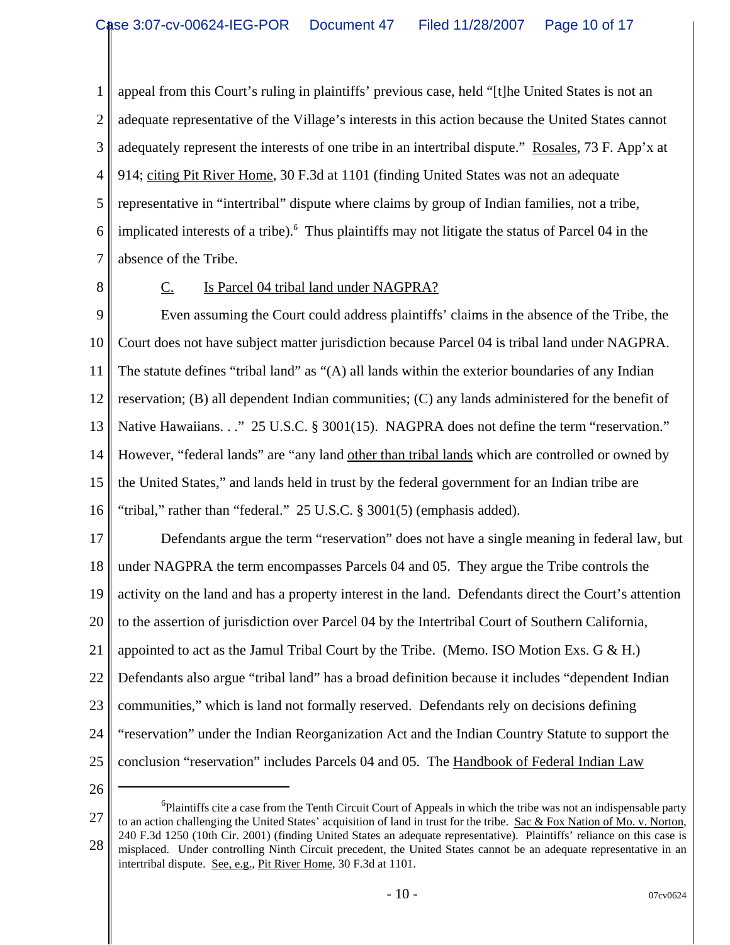1 2 3 4 5 6 7 appeal from this Court's ruling in plaintiffs' previous case, held "[t]he United States is not an adequate representative of the Village's interests in this action because the United States cannot adequately represent the interests of one tribe in an intertribal dispute." Rosales, 73 F. App'x at 914; citing Pit River Home, 30 F.3d at 1101 (finding United States was not an adequate representative in "intertribal" dispute where claims by group of Indian families, not a tribe, implicated interests of a tribe).<sup>6</sup> Thus plaintiffs may not litigate the status of Parcel 04 in the absence of the Tribe.

8

## C. Is Parcel 04 tribal land under NAGPRA?

9 10 11 12 13 14 15 16 Even assuming the Court could address plaintiffs' claims in the absence of the Tribe, the Court does not have subject matter jurisdiction because Parcel 04 is tribal land under NAGPRA. The statute defines "tribal land" as "(A) all lands within the exterior boundaries of any Indian reservation; (B) all dependent Indian communities; (C) any lands administered for the benefit of Native Hawaiians. . ." 25 U.S.C. § 3001(15). NAGPRA does not define the term "reservation." However, "federal lands" are "any land other than tribal lands which are controlled or owned by the United States," and lands held in trust by the federal government for an Indian tribe are "tribal," rather than "federal." 25 U.S.C. § 3001(5) (emphasis added).

17 18 19 20 21 22 23 24 25 Defendants argue the term "reservation" does not have a single meaning in federal law, but under NAGPRA the term encompasses Parcels 04 and 05. They argue the Tribe controls the activity on the land and has a property interest in the land. Defendants direct the Court's attention to the assertion of jurisdiction over Parcel 04 by the Intertribal Court of Southern California, appointed to act as the Jamul Tribal Court by the Tribe. (Memo. ISO Motion Exs.  $G \& H$ .) Defendants also argue "tribal land" has a broad definition because it includes "dependent Indian communities," which is land not formally reserved. Defendants rely on decisions defining "reservation" under the Indian Reorganization Act and the Indian Country Statute to support the conclusion "reservation" includes Parcels 04 and 05. The Handbook of Federal Indian Law

<sup>27</sup> 28 <sup>6</sup>Plaintiffs cite a case from the Tenth Circuit Court of Appeals in which the tribe was not an indispensable party to an action challenging the United States' acquisition of land in trust for the tribe. Sac & Fox Nation of Mo. v. Norton, 240 F.3d 1250 (10th Cir. 2001) (finding United States an adequate representative). Plaintiffs' reliance on this case is misplaced. Under controlling Ninth Circuit precedent, the United States cannot be an adequate representative in an intertribal dispute. See, e.g., Pit River Home, 30 F.3d at 1101.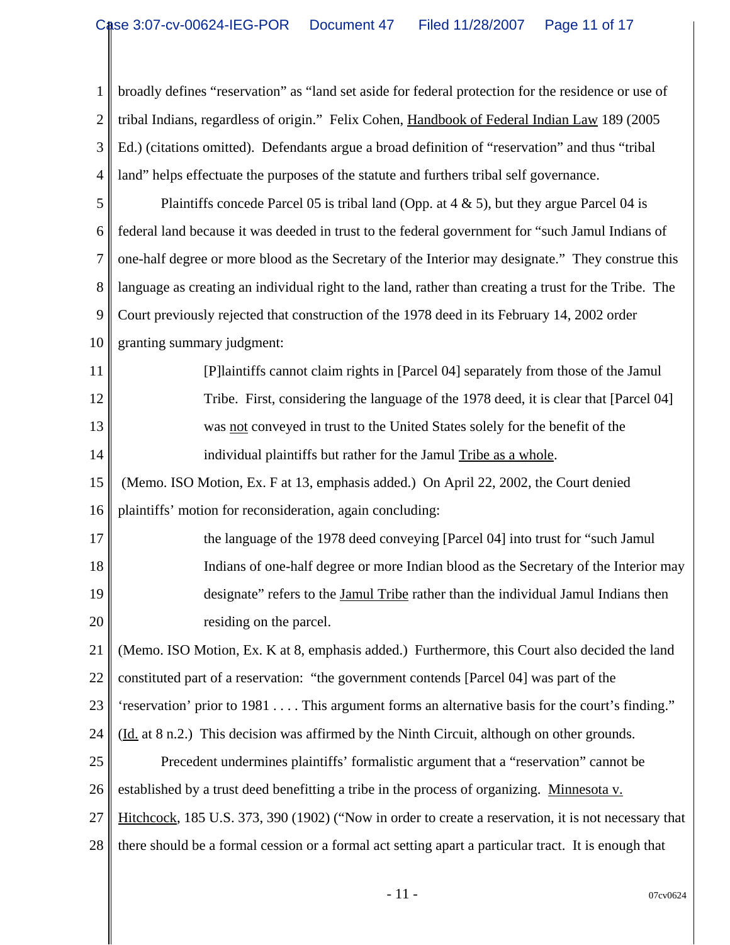1 2 3 4 5 6 7 8 9 10 11 12 13 14 15 16 17 18 19 20 21 22 23 24 25 26 27 28 broadly defines "reservation" as "land set aside for federal protection for the residence or use of tribal Indians, regardless of origin." Felix Cohen, Handbook of Federal Indian Law 189 (2005 Ed.) (citations omitted). Defendants argue a broad definition of "reservation" and thus "tribal land" helps effectuate the purposes of the statute and furthers tribal self governance. Plaintiffs concede Parcel 05 is tribal land (Opp. at  $4 \& 5$ ), but they argue Parcel 04 is federal land because it was deeded in trust to the federal government for "such Jamul Indians of one-half degree or more blood as the Secretary of the Interior may designate." They construe this language as creating an individual right to the land, rather than creating a trust for the Tribe. The Court previously rejected that construction of the 1978 deed in its February 14, 2002 order granting summary judgment: [P]laintiffs cannot claim rights in [Parcel 04] separately from those of the Jamul Tribe. First, considering the language of the 1978 deed, it is clear that [Parcel 04] was not conveyed in trust to the United States solely for the benefit of the individual plaintiffs but rather for the Jamul Tribe as a whole. (Memo. ISO Motion, Ex. F at 13, emphasis added.) On April 22, 2002, the Court denied plaintiffs' motion for reconsideration, again concluding: the language of the 1978 deed conveying [Parcel 04] into trust for "such Jamul Indians of one-half degree or more Indian blood as the Secretary of the Interior may designate" refers to the Jamul Tribe rather than the individual Jamul Indians then residing on the parcel. (Memo. ISO Motion, Ex. K at 8, emphasis added.) Furthermore, this Court also decided the land constituted part of a reservation: "the government contends [Parcel 04] was part of the 'reservation' prior to 1981 . . . . This argument forms an alternative basis for the court's finding." (Id. at 8 n.2.) This decision was affirmed by the Ninth Circuit, although on other grounds. Precedent undermines plaintiffs' formalistic argument that a "reservation" cannot be established by a trust deed benefitting a tribe in the process of organizing. Minnesota v. Hitchcock, 185 U.S. 373, 390 (1902) ("Now in order to create a reservation, it is not necessary that there should be a formal cession or a formal act setting apart a particular tract. It is enough that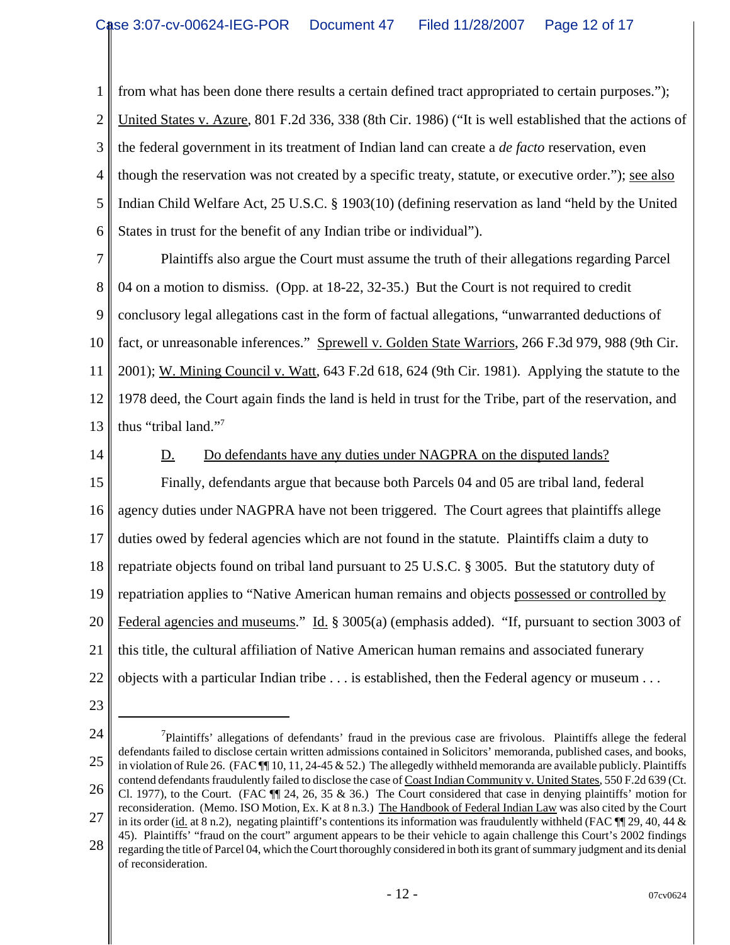1 2 3 4 5 6 from what has been done there results a certain defined tract appropriated to certain purposes."); United States v. Azure, 801 F.2d 336, 338 (8th Cir. 1986) ("It is well established that the actions of the federal government in its treatment of Indian land can create a *de facto* reservation, even though the reservation was not created by a specific treaty, statute, or executive order."); <u>see also</u> Indian Child Welfare Act, 25 U.S.C. § 1903(10) (defining reservation as land "held by the United States in trust for the benefit of any Indian tribe or individual").

7 8 9 10 11 12 13 Plaintiffs also argue the Court must assume the truth of their allegations regarding Parcel 04 on a motion to dismiss. (Opp. at 18-22, 32-35.) But the Court is not required to credit conclusory legal allegations cast in the form of factual allegations, "unwarranted deductions of fact, or unreasonable inferences." Sprewell v. Golden State Warriors, 266 F.3d 979, 988 (9th Cir. 2001); W. Mining Council v. Watt, 643 F.2d 618, 624 (9th Cir. 1981). Applying the statute to the 1978 deed, the Court again finds the land is held in trust for the Tribe, part of the reservation, and thus "tribal land."7

14

## D. Do defendants have any duties under NAGPRA on the disputed lands?

15 16 17 18 19 20 21 22 Finally, defendants argue that because both Parcels 04 and 05 are tribal land, federal agency duties under NAGPRA have not been triggered. The Court agrees that plaintiffs allege duties owed by federal agencies which are not found in the statute. Plaintiffs claim a duty to repatriate objects found on tribal land pursuant to 25 U.S.C. § 3005. But the statutory duty of repatriation applies to "Native American human remains and objects possessed or controlled by Federal agencies and museums." Id. § 3005(a) (emphasis added). "If, pursuant to section 3003 of this title, the cultural affiliation of Native American human remains and associated funerary objects with a particular Indian tribe . . . is established, then the Federal agency or museum . . .

- 23
- 24 25 26 27 28  $<sup>7</sup>$ Plaintiffs' allegations of defendants' fraud in the previous case are frivolous. Plaintiffs allege the federal</sup> defendants failed to disclose certain written admissions contained in Solicitors' memoranda, published cases, and books, in violation of Rule 26. (FAC  $\P$  10, 11, 24-45 & 52.) The allegedly withheld memoranda are available publicly. Plaintiffs contend defendants fraudulently failed to disclose the case of Coast Indian Community v. United States, 550 F.2d 639 (Ct. Cl. 1977), to the Court. (FAC ¶¶ 24, 26, 35 & 36.) The Court considered that case in denying plaintiffs' motion for reconsideration. (Memo. ISO Motion, Ex. K at 8 n.3.) The Handbook of Federal Indian Law was also cited by the Court in its order (id. at 8 n.2), negating plaintiff's contentions its information was fraudulently withheld (FAC  $\P$  29, 40, 44  $\&$ 45). Plaintiffs' "fraud on the court" argument appears to be their vehicle to again challenge this Court's 2002 findings regarding the title of Parcel 04, which the Court thoroughly considered in both its grant of summary judgment and its denial of reconsideration.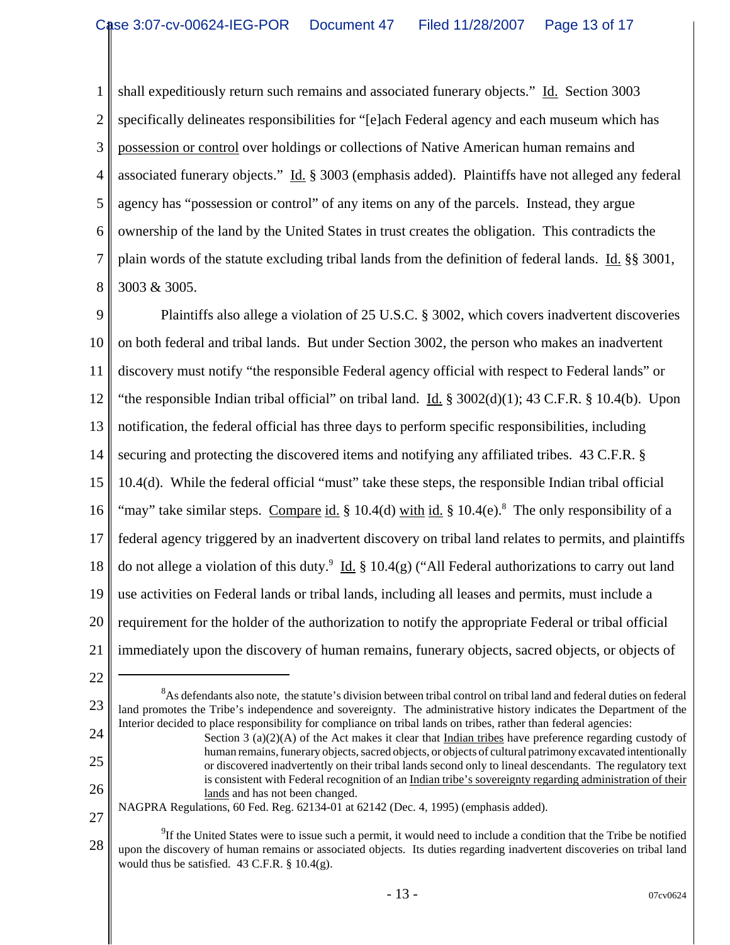1 2 3 4 5 6 7 8 shall expeditiously return such remains and associated funerary objects." Id. Section 3003 specifically delineates responsibilities for "[e]ach Federal agency and each museum which has possession or control over holdings or collections of Native American human remains and associated funerary objects." Id. § 3003 (emphasis added). Plaintiffs have not alleged any federal agency has "possession or control" of any items on any of the parcels. Instead, they argue ownership of the land by the United States in trust creates the obligation. This contradicts the plain words of the statute excluding tribal lands from the definition of federal lands. Id. §§ 3001, 3003 & 3005.

9 10 11 12 13 14 15 16 17 18 19 20 21 Plaintiffs also allege a violation of 25 U.S.C. § 3002, which covers inadvertent discoveries on both federal and tribal lands. But under Section 3002, the person who makes an inadvertent discovery must notify "the responsible Federal agency official with respect to Federal lands" or "the responsible Indian tribal official" on tribal land.  $\underline{Id}$ . § 3002(d)(1); 43 C.F.R. § 10.4(b). Upon notification, the federal official has three days to perform specific responsibilities, including securing and protecting the discovered items and notifying any affiliated tribes. 43 C.F.R. § 10.4(d). While the federal official "must" take these steps, the responsible Indian tribal official "may" take similar steps. Compare id. § 10.4(d) with id. § 10.4(e).<sup>8</sup> The only responsibility of a federal agency triggered by an inadvertent discovery on tribal land relates to permits, and plaintiffs do not allege a violation of this duty.<sup>9</sup> Id. § 10.4(g) ("All Federal authorizations to carry out land use activities on Federal lands or tribal lands, including all leases and permits, must include a requirement for the holder of the authorization to notify the appropriate Federal or tribal official immediately upon the discovery of human remains, funerary objects, sacred objects, or objects of

22

23 24  ${}^{8}$ As defendants also note, the statute's division between tribal control on tribal land and federal duties on federal land promotes the Tribe's independence and sovereignty. The administrative history indicates the Department of the Interior decided to place responsibility for compliance on tribal lands on tribes, rather than federal agencies:

25

26

Section 3 (a)(2)(A) of the Act makes it clear that Indian tribes have preference regarding custody of human remains, funerary objects, sacred objects, or objects of cultural patrimony excavated intentionally or discovered inadvertently on their tribal lands second only to lineal descendants. The regulatory text is consistent with Federal recognition of an Indian tribe's sovereignty regarding administration of their lands and has not been changed.

27 NAGPRA Regulations, 60 Fed. Reg. 62134-01 at 62142 (Dec. 4, 1995) (emphasis added).

<sup>28</sup>  $9^9$ If the United States were to issue such a permit, it would need to include a condition that the Tribe be notified upon the discovery of human remains or associated objects. Its duties regarding inadvertent discoveries on tribal land would thus be satisfied.  $43$  C.F.R. §  $10.4(g)$ .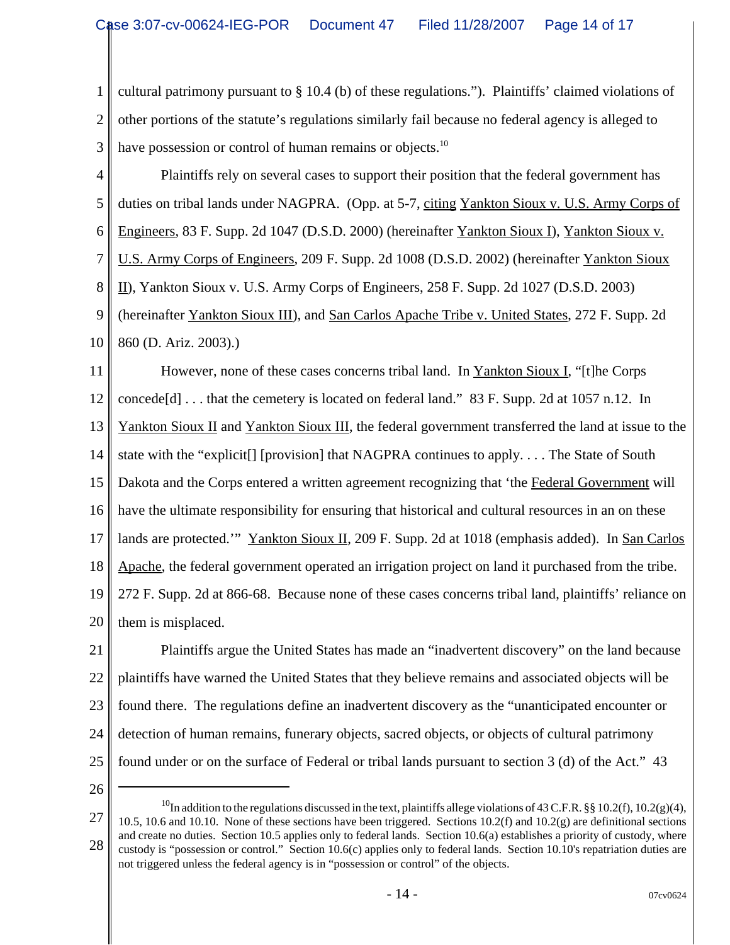1 2 3 cultural patrimony pursuant to § 10.4 (b) of these regulations."). Plaintiffs' claimed violations of other portions of the statute's regulations similarly fail because no federal agency is alleged to have possession or control of human remains or objects.<sup>10</sup>

4 5 6 7 8 9 10 Plaintiffs rely on several cases to support their position that the federal government has duties on tribal lands under NAGPRA. (Opp. at 5-7, citing Yankton Sioux v. U.S. Army Corps of Engineers, 83 F. Supp. 2d 1047 (D.S.D. 2000) (hereinafter Yankton Sioux I), Yankton Sioux v. U.S. Army Corps of Engineers, 209 F. Supp. 2d 1008 (D.S.D. 2002) (hereinafter Yankton Sioux II), Yankton Sioux v. U.S. Army Corps of Engineers, 258 F. Supp. 2d 1027 (D.S.D. 2003) (hereinafter Yankton Sioux III), and San Carlos Apache Tribe v. United States, 272 F. Supp. 2d 860 (D. Ariz. 2003).)

11 12 13 14 15 16 17 18 19 20 However, none of these cases concerns tribal land. In Yankton Sioux I, "[t]he Corps concede[d] . . . that the cemetery is located on federal land." 83 F. Supp. 2d at 1057 n.12. In Yankton Sioux II and Yankton Sioux III, the federal government transferred the land at issue to the state with the "explicit[] [provision] that NAGPRA continues to apply. . . . The State of South Dakota and the Corps entered a written agreement recognizing that 'the Federal Government will have the ultimate responsibility for ensuring that historical and cultural resources in an on these lands are protected.'" Yankton Sioux II, 209 F. Supp. 2d at 1018 (emphasis added). In San Carlos Apache, the federal government operated an irrigation project on land it purchased from the tribe. 272 F. Supp. 2d at 866-68. Because none of these cases concerns tribal land, plaintiffs' reliance on them is misplaced.

21 22 23 24 25 Plaintiffs argue the United States has made an "inadvertent discovery" on the land because plaintiffs have warned the United States that they believe remains and associated objects will be found there. The regulations define an inadvertent discovery as the "unanticipated encounter or detection of human remains, funerary objects, sacred objects, or objects of cultural patrimony found under or on the surface of Federal or tribal lands pursuant to section 3 (d) of the Act." 43

<sup>27</sup> 28 <sup>10</sup>In addition to the regulations discussed in the text, plaintiffs allege violations of 43 C.F.R. §§ 10.2(f), 10.2(g)(4), 10.5, 10.6 and 10.10. None of these sections have been triggered. Sections  $10.2(f)$  and  $10.2(g)$  are definitional sections and create no duties. Section 10.5 applies only to federal lands. Section 10.6(a) establishes a priority of custody, where custody is "possession or control." Section 10.6(c) applies only to federal lands. Section 10.10's repatriation duties are not triggered unless the federal agency is in "possession or control" of the objects.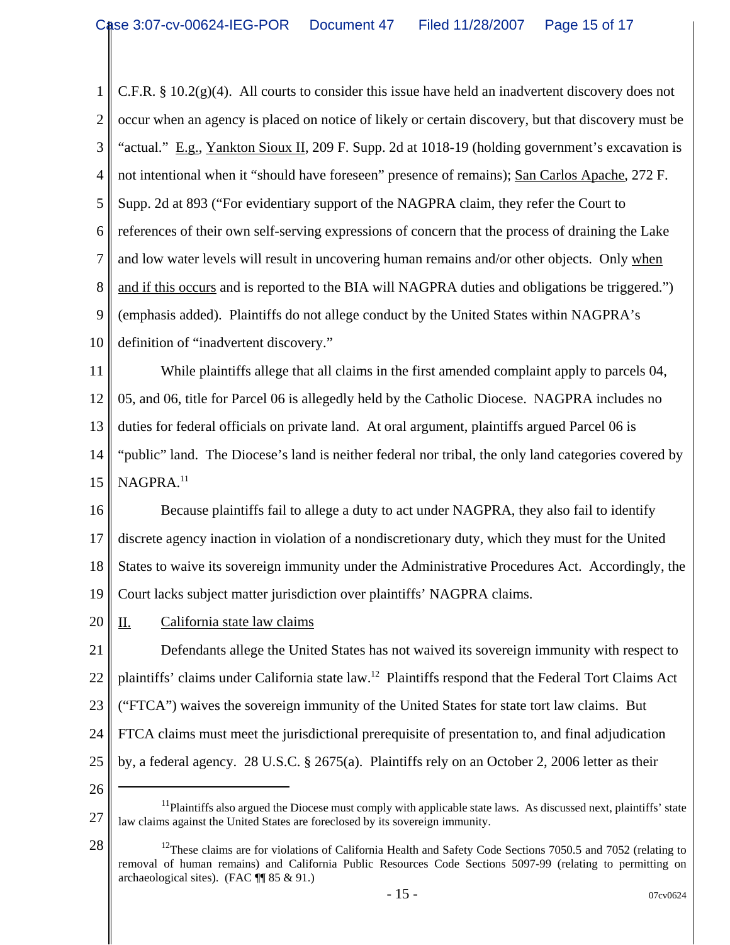1 2 3 4 5 6 7 8 9 10 C.F.R. § 10.2(g)(4). All courts to consider this issue have held an inadvertent discovery does not occur when an agency is placed on notice of likely or certain discovery, but that discovery must be "actual." E.g., Yankton Sioux II, 209 F. Supp. 2d at 1018-19 (holding government's excavation is not intentional when it "should have foreseen" presence of remains); San Carlos Apache, 272 F. Supp. 2d at 893 ("For evidentiary support of the NAGPRA claim, they refer the Court to references of their own self-serving expressions of concern that the process of draining the Lake and low water levels will result in uncovering human remains and/or other objects. Only when and if this occurs and is reported to the BIA will NAGPRA duties and obligations be triggered.") (emphasis added). Plaintiffs do not allege conduct by the United States within NAGPRA's definition of "inadvertent discovery."

11 12 13 14 15 While plaintiffs allege that all claims in the first amended complaint apply to parcels 04, 05, and 06, title for Parcel 06 is allegedly held by the Catholic Diocese. NAGPRA includes no duties for federal officials on private land. At oral argument, plaintiffs argued Parcel 06 is "public" land. The Diocese's land is neither federal nor tribal, the only land categories covered by NAGPRA.<sup>11</sup>

16 17 18 19 Because plaintiffs fail to allege a duty to act under NAGPRA, they also fail to identify discrete agency inaction in violation of a nondiscretionary duty, which they must for the United States to waive its sovereign immunity under the Administrative Procedures Act. Accordingly, the Court lacks subject matter jurisdiction over plaintiffs' NAGPRA claims.

20 II. California state law claims

21 22 23 24 25 Defendants allege the United States has not waived its sovereign immunity with respect to plaintiffs' claims under California state law.12 Plaintiffs respond that the Federal Tort Claims Act ("FTCA") waives the sovereign immunity of the United States for state tort law claims. But FTCA claims must meet the jurisdictional prerequisite of presentation to, and final adjudication by, a federal agency. 28 U.S.C. § 2675(a). Plaintiffs rely on an October 2, 2006 letter as their

<sup>27</sup>  $11$ Plaintiffs also argued the Diocese must comply with applicable state laws. As discussed next, plaintiffs' state law claims against the United States are foreclosed by its sovereign immunity.

<sup>28</sup> <sup>12</sup>These claims are for violations of California Health and Safety Code Sections 7050.5 and 7052 (relating to removal of human remains) and California Public Resources Code Sections 5097-99 (relating to permitting on archaeological sites). (FAC ¶¶ 85 & 91.)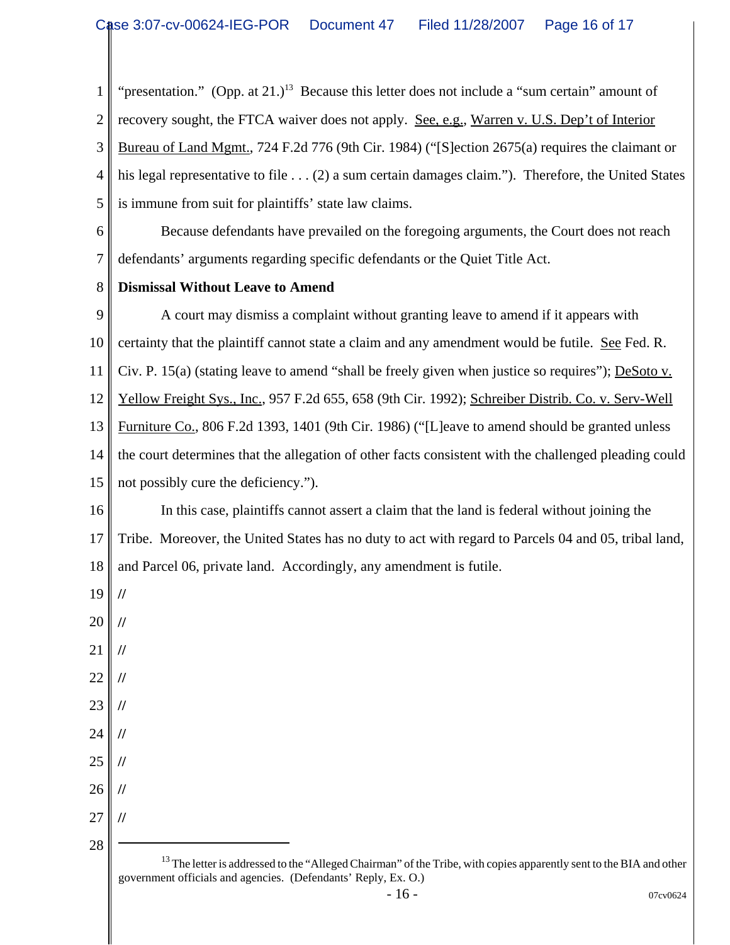1 "presentation." (Opp. at  $21.$ )<sup>13</sup> Because this letter does not include a "sum certain" amount of

2 recovery sought, the FTCA waiver does not apply. See, e.g., Warren v. U.S. Dep't of Interior

3 4 5 Bureau of Land Mgmt., 724 F.2d 776 (9th Cir. 1984) ("[S]ection 2675(a) requires the claimant or his legal representative to file . . . (2) a sum certain damages claim."). Therefore, the United States is immune from suit for plaintiffs' state law claims.

6 7 Because defendants have prevailed on the foregoing arguments, the Court does not reach defendants' arguments regarding specific defendants or the Quiet Title Act.

## 8 **Dismissal Without Leave to Amend**

9 10 11 12 13 14 15 A court may dismiss a complaint without granting leave to amend if it appears with certainty that the plaintiff cannot state a claim and any amendment would be futile. See Fed. R. Civ. P. 15(a) (stating leave to amend "shall be freely given when justice so requires"); DeSoto v. Yellow Freight Sys., Inc., 957 F.2d 655, 658 (9th Cir. 1992); Schreiber Distrib. Co. v. Serv-Well Furniture Co., 806 F.2d 1393, 1401 (9th Cir. 1986) ("[L]eave to amend should be granted unless the court determines that the allegation of other facts consistent with the challenged pleading could not possibly cure the deficiency.").

16 17 18 In this case, plaintiffs cannot assert a claim that the land is federal without joining the Tribe. Moreover, the United States has no duty to act with regard to Parcels 04 and 05, tribal land, and Parcel 06, private land. Accordingly, any amendment is futile.

19

**//**

- 20 **//**
- 21 **//**
- 22 **//**
- 23 **//**
- 24 **//**
- 25 **//**
- 26 27 **// //**
- 28

<sup>&</sup>lt;sup>13</sup> The letter is addressed to the "Alleged Chairman" of the Tribe, with copies apparently sent to the BIA and other government officials and agencies. (Defendants' Reply, Ex. O.)